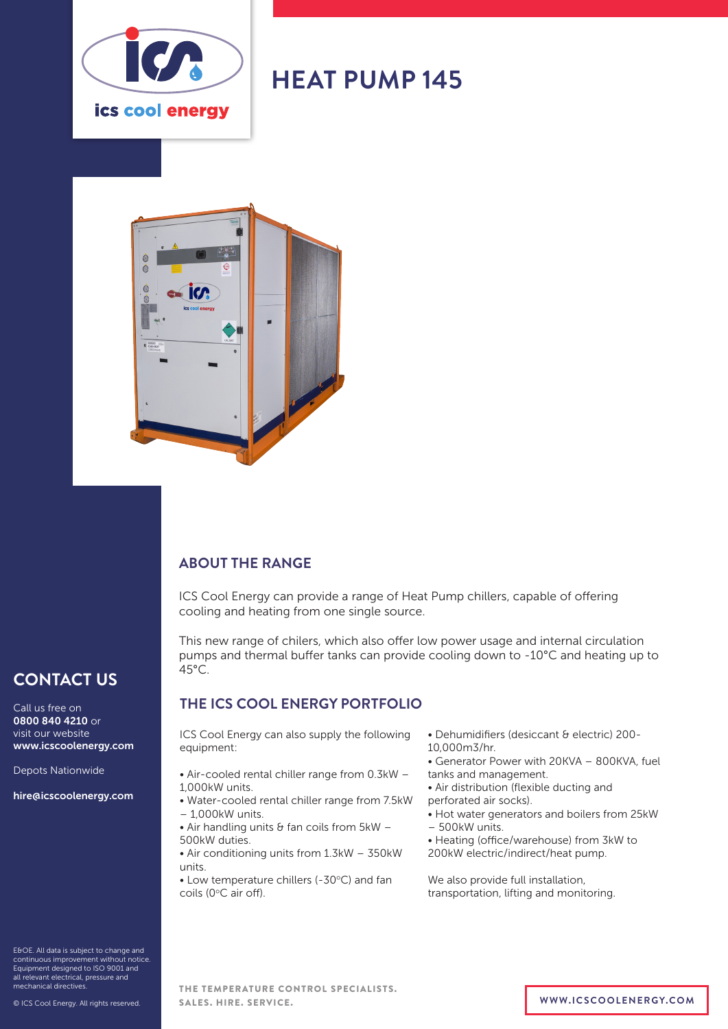

# **HEAT PUMP 145**



#### **ABOUT THE RANGE**

ICS Cool Energy can provide a range of Heat Pump chillers, capable of offering cooling and heating from one single source.

This new range of chilers, which also offer low power usage and internal circulation pumps and thermal buffer tanks can provide cooling down to -10°C and heating up to  $45^{\circ}$ C.

#### **THE ICS COOL ENERGY PORTFOLIO**

ICS Cool Energy can also supply the following equipment:

- Air-cooled rental chiller range from 0.3kW 1,000kW units.
- Water-cooled rental chiller range from 7.5kW  $-1,000k$ W units.
- Air handling units  $\theta$  fan coils from  $5kW -$ 500kW duties.
- Air conditioning units from 1.3kW 350kW units.
- Low temperature chillers (-30°C) and fan coils (0°C air off).
- Dehumidifiers (desiccant & electric) 200-
- 10,000m3/hr.
- Generator Power with 20KVA 800KVA, fuel tanks and management.
- Air distribution (flexible ducting and perforated air socks).
- Hot water generators and boilers from 25kW – 500kW units.
- Heating (office/warehouse) from 3kW to 200kW electric/indirect/heat pump.

We also provide full installation, transportation, lifting and monitoring.

## **CONTACT US**

Call us free on 0800 840 4210 or visit our website www.icscoolenergy.com

Depots Nationwide

hire@icscoolenergy.com

E&OE. All data is subject to change and continuous improvement without notice. Equipment designed to ISO 9001 and all relevant electrical, pressure and mechanical directives.

© ICS Cool Energy. All rights reserved.

#### THE TEMPERATURE CONTROL SPECIALISTS. SALES. HIRE. SERVICE. **WWW.ICSCOOLENERGY.COM**